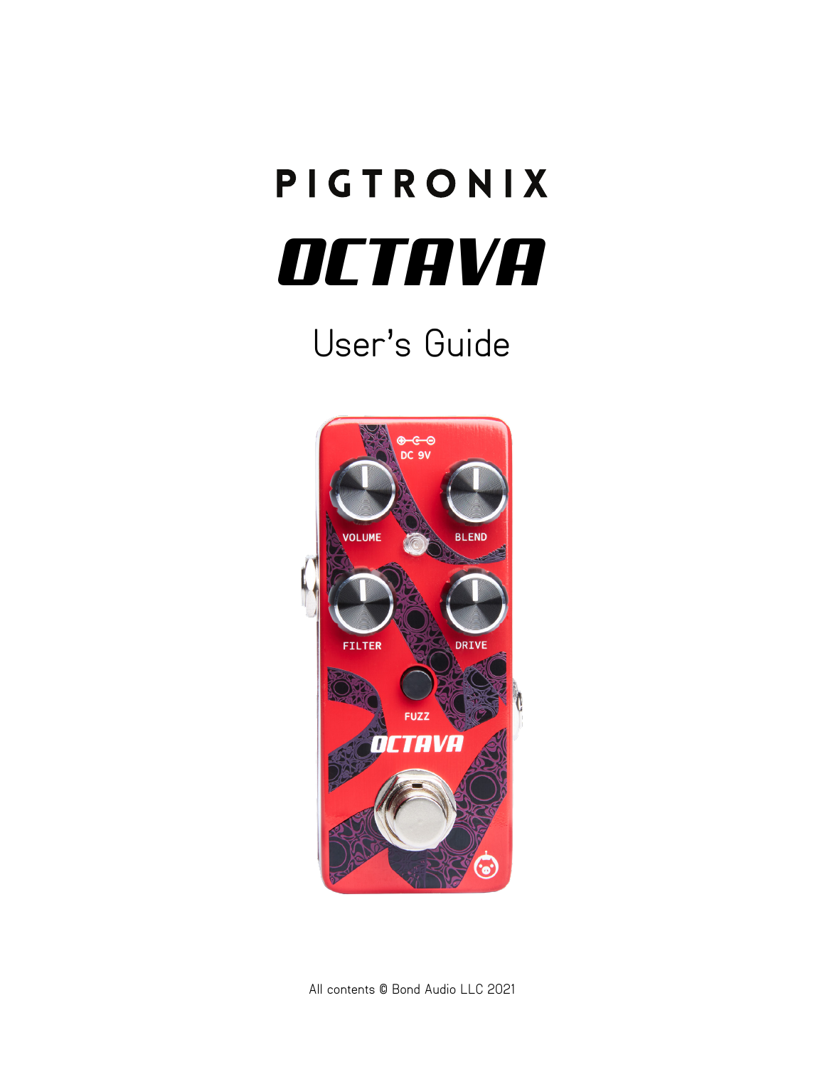# PIGTRONIX *OCTAVA*

# User's Guide

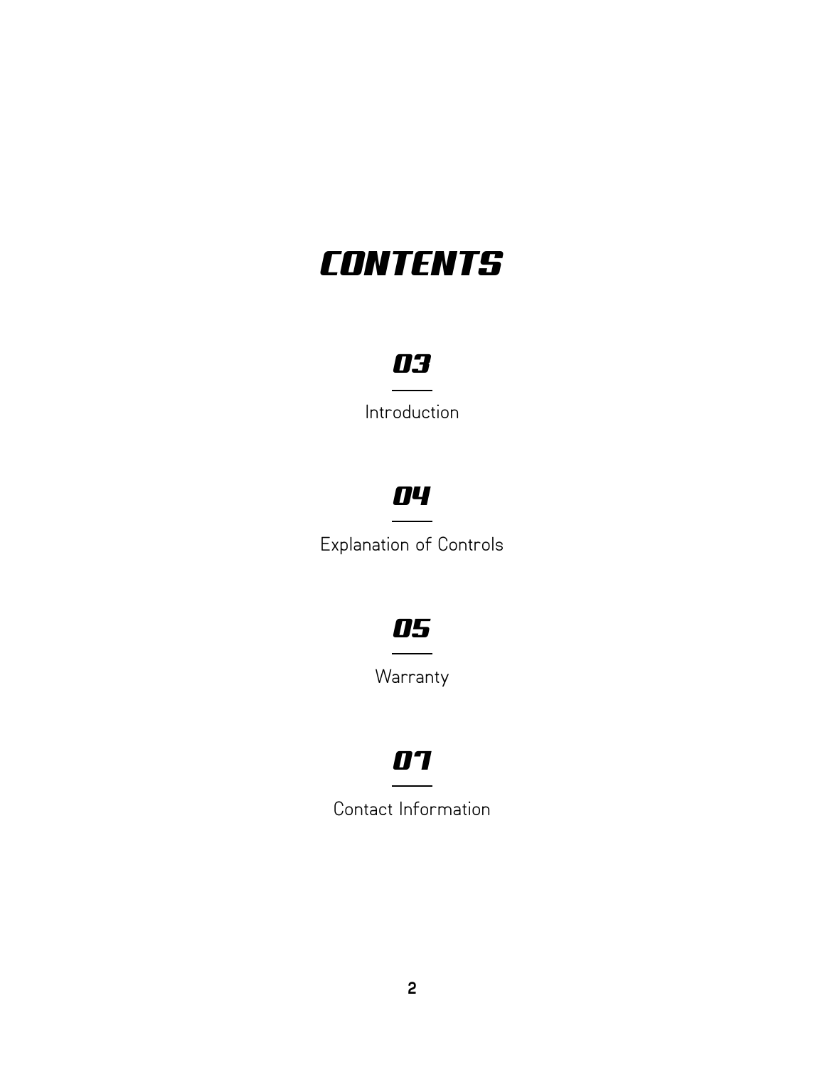# *CONTENTS*

### *03*

Introduction

### *04*

Explanation of Controls

### *05*

Warranty

### *07*

Contact Information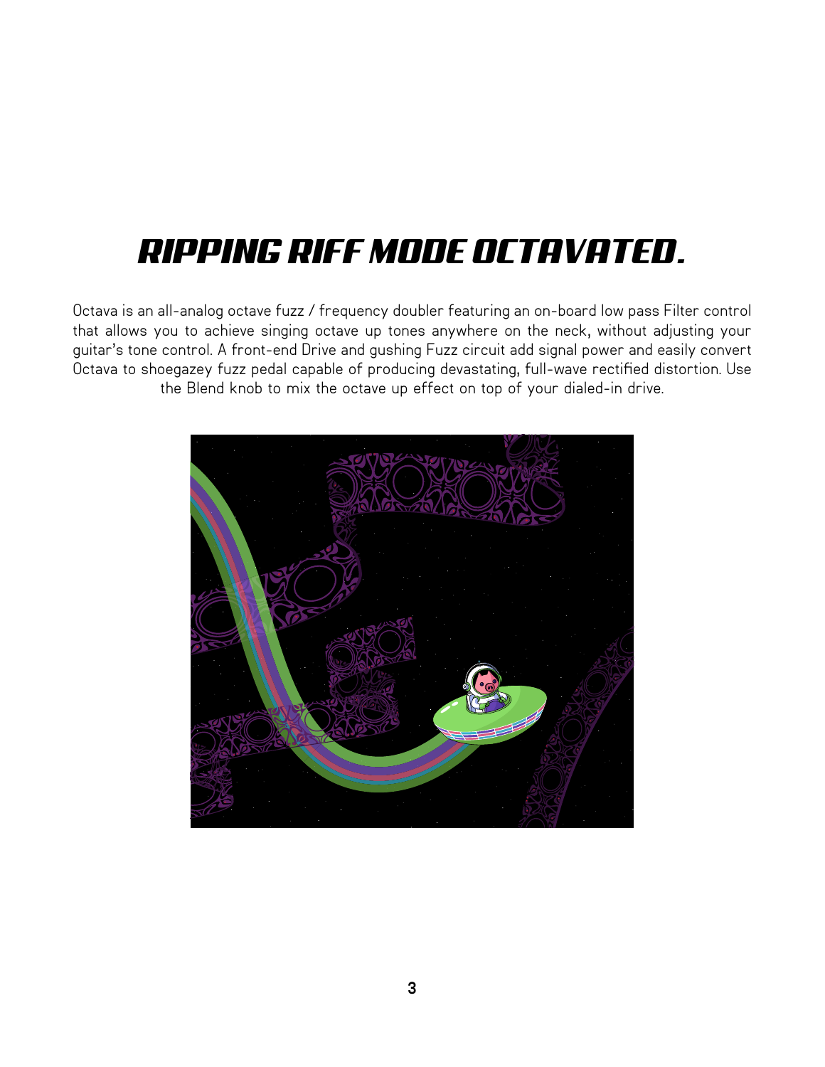# *RIPPING RIFF MODE OCTAVATED.*

Octava is an all-analog octave fuzz / frequency doubler featuring an on-board low pass Filter control that allows you to achieve singing octave up tones anywhere on the neck, without adjusting your guitar's tone control. A front-end Drive and gushing Fuzz circuit add signal power and easily convert Octava to shoegazey fuzz pedal capable of producing devastating, full-wave rectified distortion. Use the Blend knob to mix the octave up effect on top of your dialed-in drive.

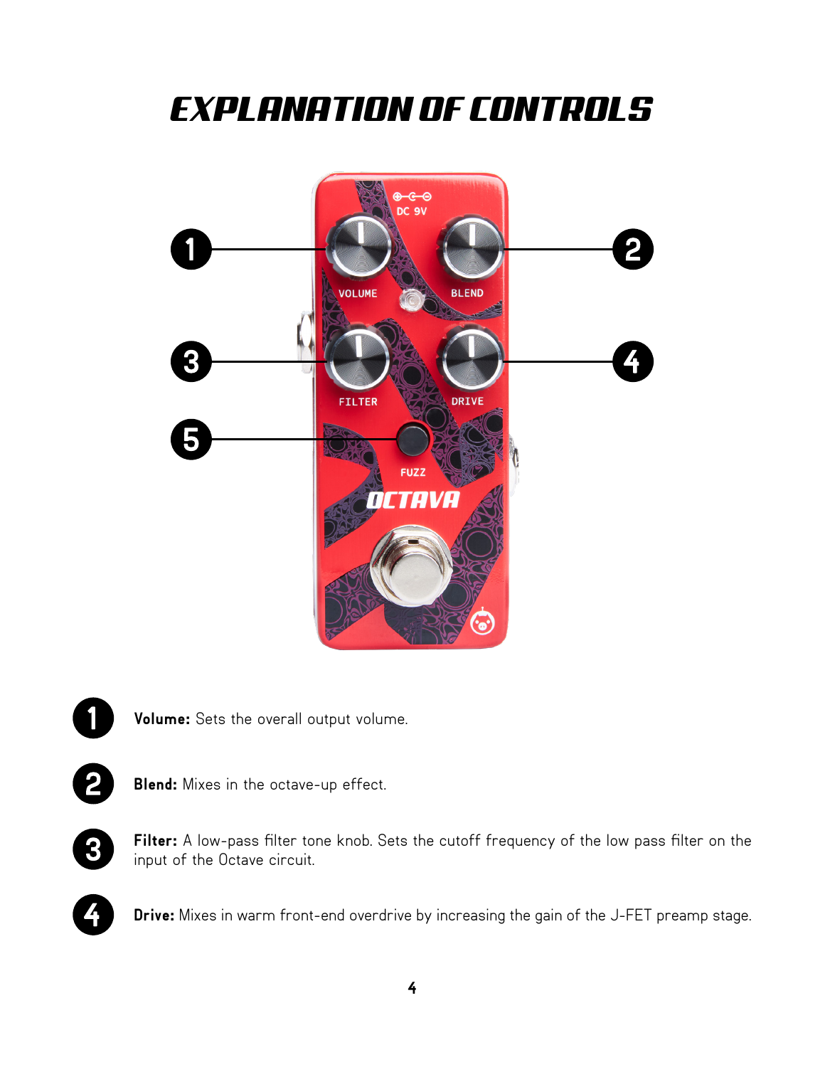# *EXPLANATION OF CONTROLS*







**Blend:** Mixes in the octave-up effect.



**Filter:** A low-pass filter tone knob. Sets the cutoff frequency of the low pass filter on the input of the Octave circuit.



**Drive:** Mixes in warm front-end overdrive by increasing the gain of the J-FET preamp stage.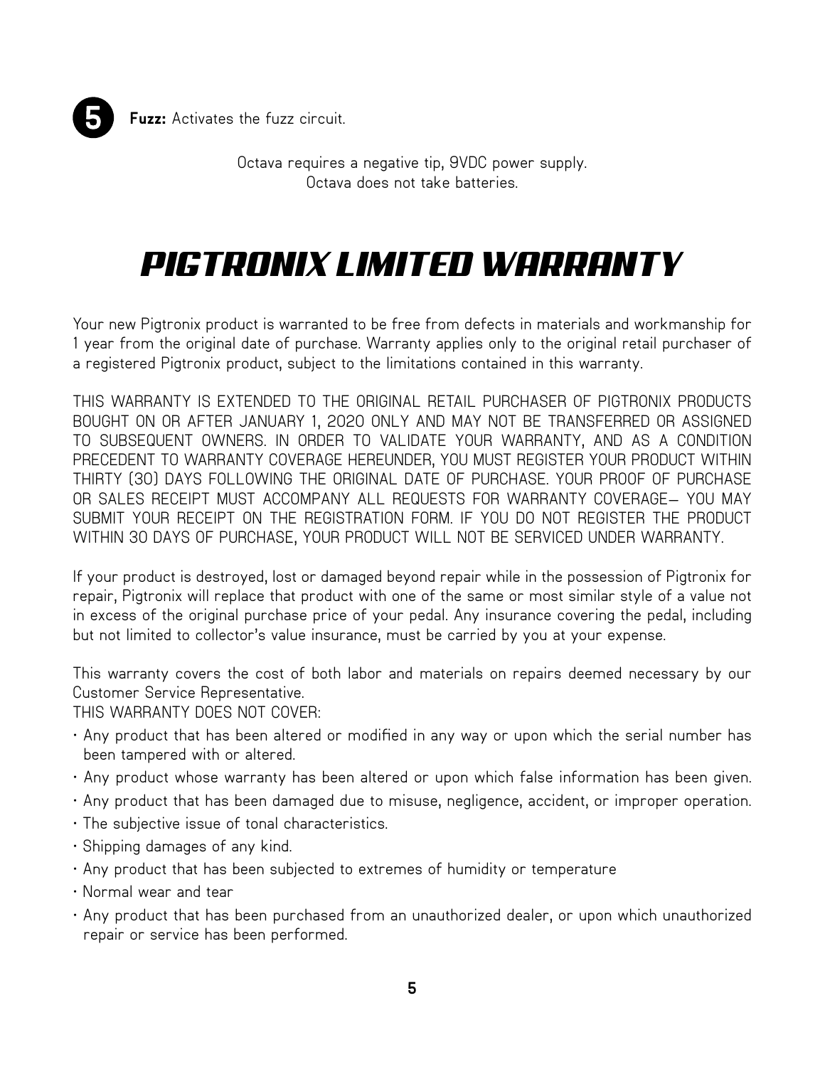

**Fuzz:** Activates the fuzz circuit.

Octava requires a negative tip, 9VDC power supply. Octava does not take batteries.

# *PIGTRONIX LIMITED WARRANTY*

Your new Pigtronix product is warranted to be free from defects in materials and workmanship for 1 year from the original date of purchase. Warranty applies only to the original retail purchaser of a registered Pigtronix product, subject to the limitations contained in this warranty.

THIS WARRANTY IS EXTENDED TO THE ORIGINAL RETAIL PURCHASER OF PIGTRONIX PRODUCTS BOUGHT ON OR AFTER JANUARY 1, 2020 ONLY AND MAY NOT BE TRANSFERRED OR ASSIGNED TO SUBSEQUENT OWNERS. IN ORDER TO VALIDATE YOUR WARRANTY, AND AS A CONDITION PRECEDENT TO WARRANTY COVERAGE HEREUNDER, YOU MUST REGISTER YOUR PRODUCT WITHIN THIRTY (30) DAYS FOLLOWING THE ORIGINAL DATE OF PURCHASE. YOUR PROOF OF PURCHASE OR SALES RECEIPT MUST ACCOMPANY ALL REQUESTS FOR WARRANTY COVERAGE— YOU MAY SUBMIT YOUR RECEIPT ON THE REGISTRATION FORM. IF YOU DO NOT REGISTER THE PRODUCT WITHIN 30 DAYS OF PURCHASE, YOUR PRODUCT WILL NOT BE SERVICED UNDER WARRANTY.

If your product is destroyed, lost or damaged beyond repair while in the possession of Pigtronix for repair, Pigtronix will replace that product with one of the same or most similar style of a value not in excess of the original purchase price of your pedal. Any insurance covering the pedal, including but not limited to collector's value insurance, must be carried by you at your expense.

This warranty covers the cost of both labor and materials on repairs deemed necessary by our Customer Service Representative.

THIS WARRANTY DOES NOT COVER:

- Any product that has been altered or modified in any way or upon which the serial number has been tampered with or altered.
- Any product whose warranty has been altered or upon which false information has been given.
- Any product that has been damaged due to misuse, negligence, accident, or improper operation.
- The subjective issue of tonal characteristics.
- Shipping damages of any kind.
- Any product that has been subjected to extremes of humidity or temperature
- Normal wear and tear
- Any product that has been purchased from an unauthorized dealer, or upon which unauthorized repair or service has been performed.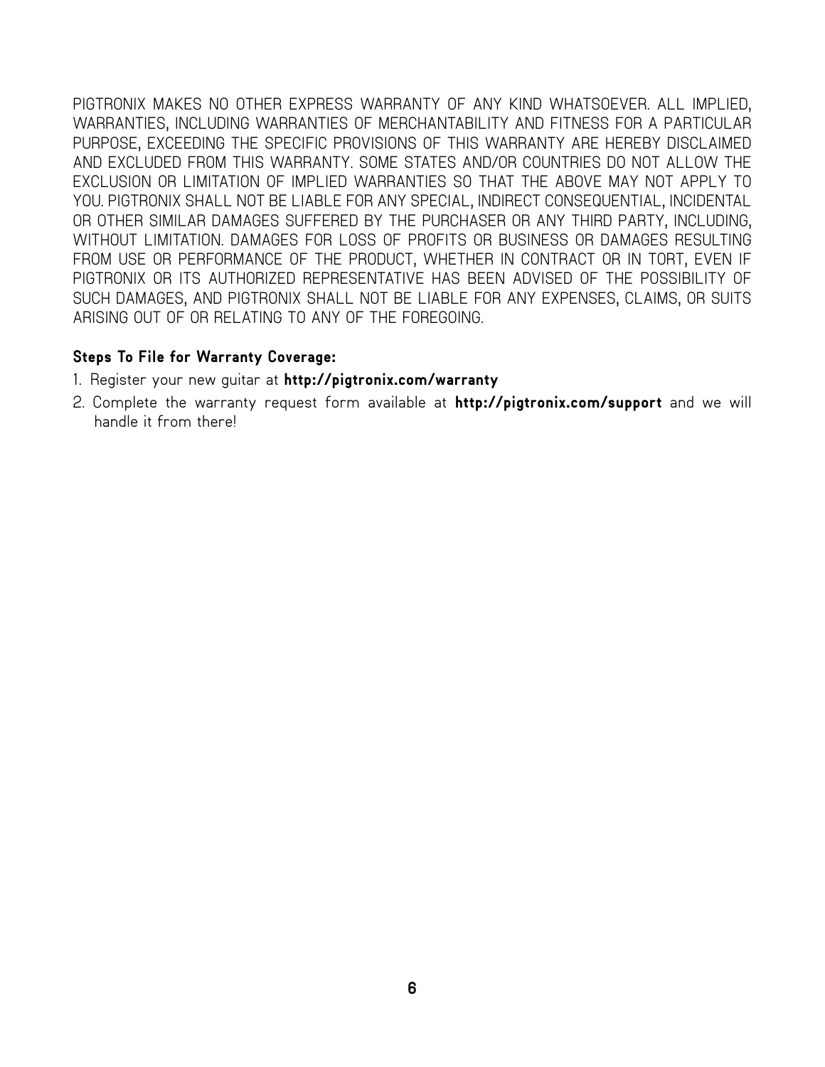PIGTRONIX MAKES NO OTHER EXPRESS WARRANTY OF ANY KIND WHATSOEVER. ALL IMPLIED, WARRANTIES, INCLUDING WARRANTIES OF MERCHANTABILITY AND FITNESS FOR A PARTICULAR PURPOSE, EXCEEDING THE SPECIFIC PROVISIONS OF THIS WARRANTY ARE HEREBY DISCLAIMED AND EXCLUDED FROM THIS WARRANTY. SOME STATES AND/OR COUNTRIES DO NOT ALLOW THE EXCLUSION OR LIMITATION OF IMPLIED WARRANTIES SO THAT THE ABOVE MAY NOT APPLY TO YOU. PIGTRONIX SHALL NOT BE LIABLE FOR ANY SPECIAL, INDIRECT CONSEQUENTIAL, INCIDENTAL OR OTHER SIMILAR DAMAGES SUFFERED BY THE PURCHASER OR ANY THIRD PARTY, INCLUDING, WITHOUT LIMITATION. DAMAGES FOR LOSS OF PROFITS OR BUSINESS OR DAMAGES RESULTING FROM USE OR PERFORMANCE OF THE PRODUCT, WHETHER IN CONTRACT OR IN TORT, EVEN IF PIGTRONIX OR ITS AUTHORIZED REPRESENTATIVE HAS BEEN ADVISED OF THE POSSIBILITY OF SUCH DAMAGES, AND PIGTRONIX SHALL NOT BE LIABLE FOR ANY EXPENSES, CLAIMS, OR SUITS ARISING OUT OF OR RELATING TO ANY OF THE FOREGOING.

#### **Steps To File for Warranty Coverage:**

- 1. Register your new guitar at **http://pigtronix.com/warranty**
- 2. Complete the warranty request form available at **http://pigtronix.com/support** and we will handle it from there!